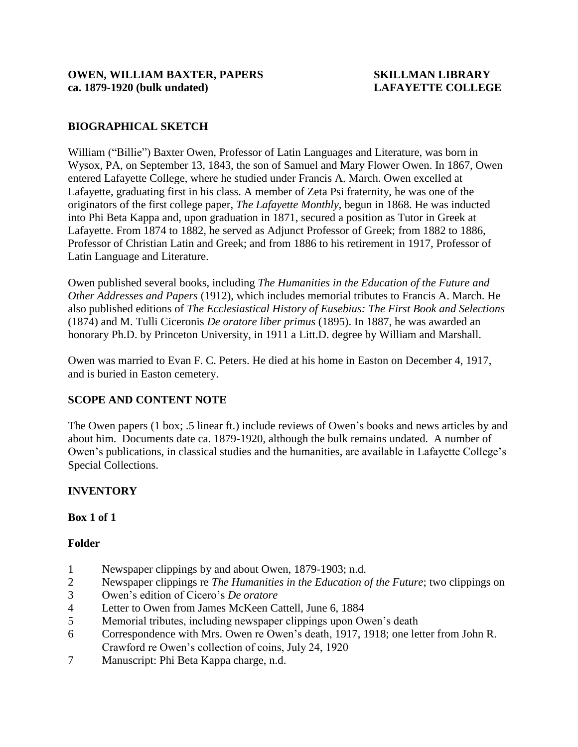# **BIOGRAPHICAL SKETCH**

William ("Billie") Baxter Owen, Professor of Latin Languages and Literature, was born in Wysox, PA, on September 13, 1843, the son of Samuel and Mary Flower Owen. In 1867, Owen entered Lafayette College, where he studied under Francis A. March. Owen excelled at Lafayette, graduating first in his class. A member of Zeta Psi fraternity, he was one of the originators of the first college paper, *The Lafayette Monthly*, begun in 1868. He was inducted into Phi Beta Kappa and, upon graduation in 1871, secured a position as Tutor in Greek at Lafayette. From 1874 to 1882, he served as Adjunct Professor of Greek; from 1882 to 1886, Professor of Christian Latin and Greek; and from 1886 to his retirement in 1917, Professor of Latin Language and Literature.

Owen published several books, including *The Humanities in the Education of the Future and Other Addresses and Papers* (1912), which includes memorial tributes to Francis A. March. He also published editions of *The Ecclesiastical History of Eusebius: The First Book and Selections*  (1874) and M. Tulli Ciceronis *De oratore liber primus* (1895). In 1887, he was awarded an honorary Ph.D. by Princeton University, in 1911 a Litt.D. degree by William and Marshall.

Owen was married to Evan F. C. Peters. He died at his home in Easton on December 4, 1917, and is buried in Easton cemetery.

## **SCOPE AND CONTENT NOTE**

The Owen papers (1 box; .5 linear ft.) include reviews of Owen's books and news articles by and about him. Documents date ca. 1879-1920, although the bulk remains undated. A number of Owen's publications, in classical studies and the humanities, are available in Lafayette College's Special Collections.

## **INVENTORY**

**Box 1 of 1**

## **Folder**

- 1 Newspaper clippings by and about Owen, 1879-1903; n.d.
- 2 Newspaper clippings re *The Humanities in the Education of the Future*; two clippings on
- 3 Owen's edition of Cicero's *De oratore*
- 4 Letter to Owen from James McKeen Cattell, June 6, 1884
- 5 Memorial tributes, including newspaper clippings upon Owen's death
- 6 Correspondence with Mrs. Owen re Owen's death, 1917, 1918; one letter from John R. Crawford re Owen's collection of coins, July 24, 1920
- 7 Manuscript: Phi Beta Kappa charge, n.d.